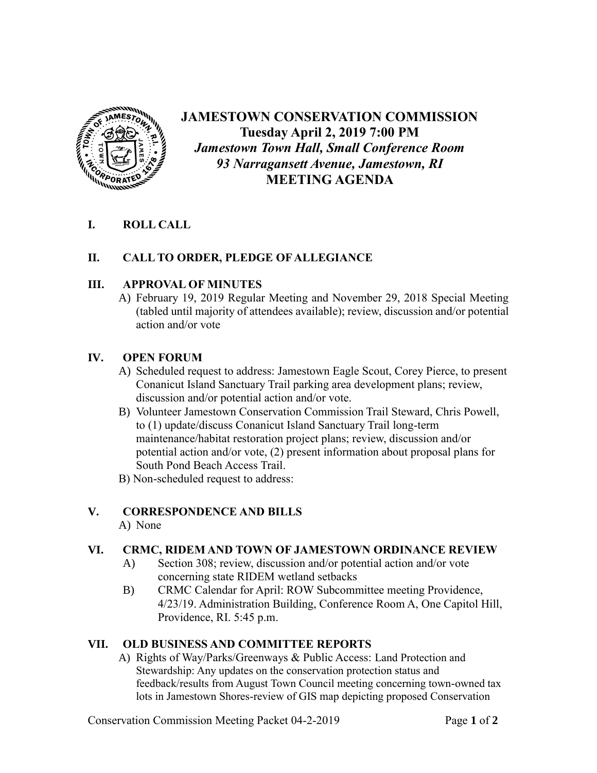

# **JAMESTOWN CONSERVATION COMMISSION Tuesday April 2, 2019 7:00 PM** *Jamestown Town Hall, Small Conference Room 93 Narragansett Avenue, Jamestown, RI* **MEETING AGENDA**

## **I. ROLL CALL**

### **II. CALL TO ORDER, PLEDGE OF ALLEGIANCE**

### **III. APPROVAL OF MINUTES**

A) February 19, 2019 Regular Meeting and November 29, 2018 Special Meeting (tabled until majority of attendees available); review, discussion and/or potential action and/or vote

### **IV. OPEN FORUM**

- A) Scheduled request to address: Jamestown Eagle Scout, Corey Pierce, to present Conanicut Island Sanctuary Trail parking area development plans; review, discussion and/or potential action and/or vote.
- B) Volunteer Jamestown Conservation Commission Trail Steward, Chris Powell, to (1) update/discuss Conanicut Island Sanctuary Trail long-term maintenance/habitat restoration project plans; review, discussion and/or potential action and/or vote, (2) present information about proposal plans for South Pond Beach Access Trail.
- B) Non-scheduled request to address:

### **V. CORRESPONDENCE AND BILLS**

A) None

### **VI. CRMC, RIDEM AND TOWN OF JAMESTOWN ORDINANCE REVIEW**

- A) Section 308; review, discussion and/or potential action and/or vote concerning state RIDEM wetland setbacks
- B) CRMC Calendar for April: ROW Subcommittee meeting Providence, 4/23/19. Administration Building, Conference Room A, One Capitol Hill, Providence, RI. 5:45 p.m.

### **VII. OLD BUSINESS AND COMMITTEE REPORTS**

A) Rights of Way/Parks/Greenways & Public Access: Land Protection and Stewardship: Any updates on the conservation protection status and feedback/results from August Town Council meeting concerning town-owned tax lots in Jamestown Shores-review of GIS map depicting proposed Conservation

Conservation Commission Meeting Packet 04-2-2019 Page **1** of **2**